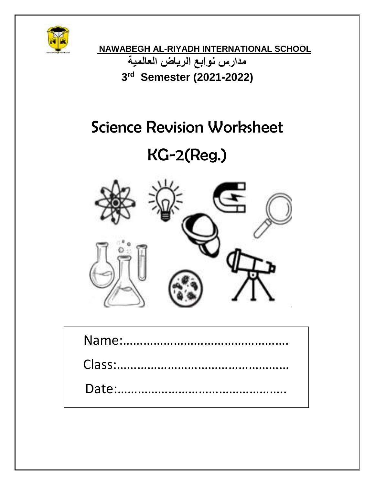

**NAWABEGH AL-RIYADH INTERNATIONAL SCHOOL مدارس نوابع الرياض العالمية 3 rd Semester (2021-2022)**

## Science Revision Worksheet

# KG-2(Reg.)

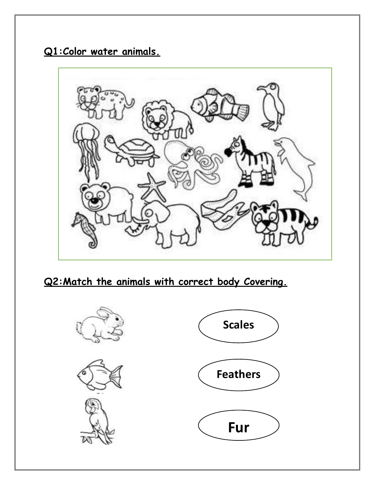**Q1:Color water animals.**



**Q2:Match the animals with correct body Covering.**

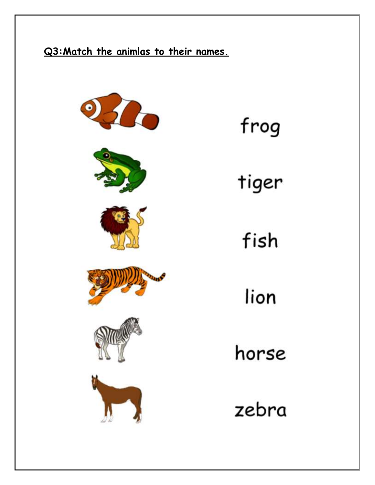## **Q3:Match the animlas to their names.**

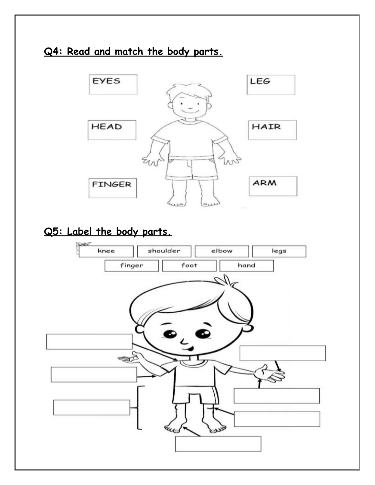### **Q4: Read and match the body parts.**



### **Q5: Label the body parts.**

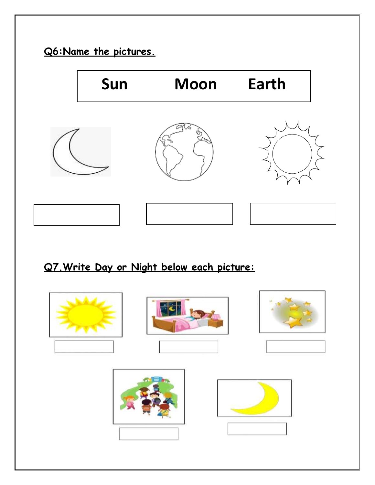

## **Q7.Write Day or Night below each picture:**

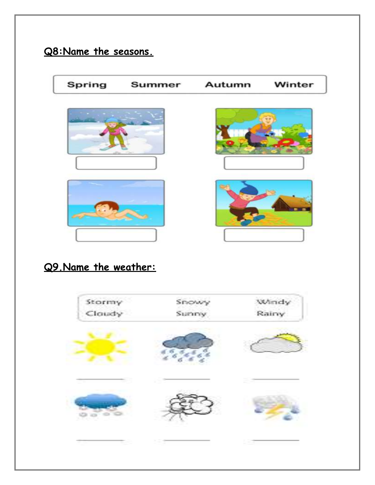## **Q8:Name the seasons.**



#### **Q9.Name the weather:**

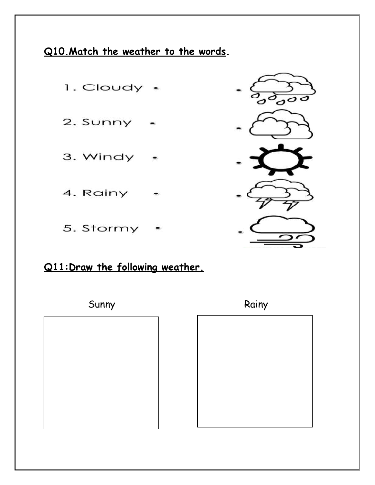**Q10.Match the weather to the words.**





#### **Q11:Draw the following weather.**